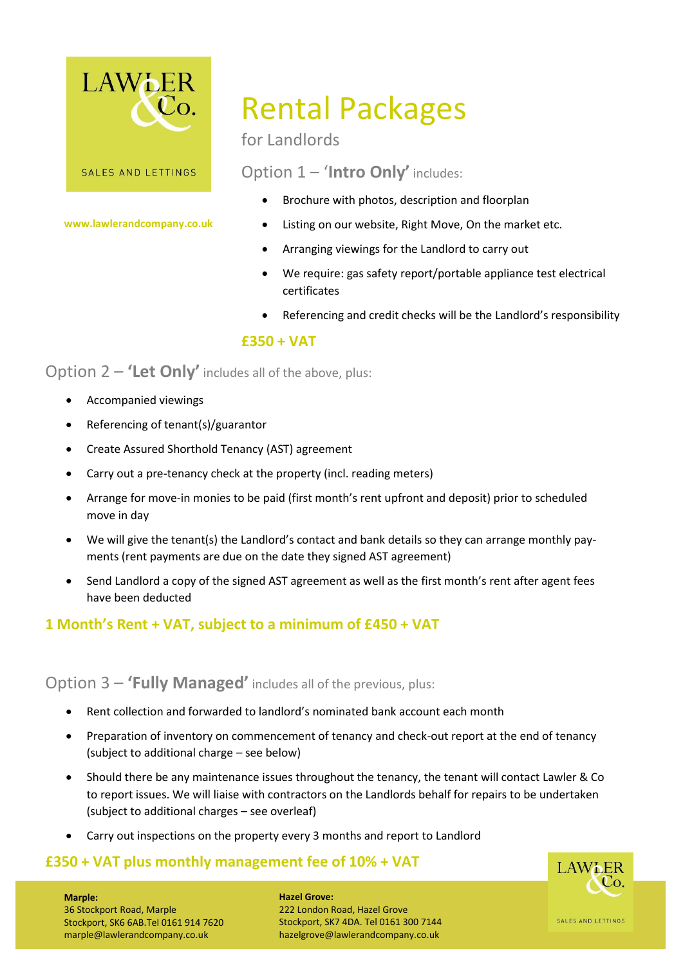

**www.lawlerandcompany.co.uk**

# Rental Packages

for Landlords

Option 1 – '**Intro Only'** includes:

- Brochure with photos, description and floorplan
- Listing on our website, Right Move, On the market etc.
- Arranging viewings for the Landlord to carry out
- We require: gas safety report/portable appliance test electrical certificates
- Referencing and credit checks will be the Landlord's responsibility

### **£350 + VAT**

Option 2 – **'Let Only'** includes all of the above, plus:

- Accompanied viewings
- Referencing of tenant(s)/guarantor
- Create Assured Shorthold Tenancy (AST) agreement
- Carry out a pre-tenancy check at the property (incl. reading meters)
- Arrange for move-in monies to be paid (first month's rent upfront and deposit) prior to scheduled move in day
- We will give the tenant(s) the Landlord's contact and bank details so they can arrange monthly payments (rent payments are due on the date they signed AST agreement)
- Send Landlord a copy of the signed AST agreement as well as the first month's rent after agent fees have been deducted

## **1 Month's Rent + VAT, subject to a minimum of £450 + VAT**

### Option 3 – **'Fully Managed'** includes all of the previous, plus:

- Rent collection and forwarded to landlord's nominated bank account each month
- Preparation of inventory on commencement of tenancy and check-out report at the end of tenancy (subject to additional charge – see below)
- Should there be any maintenance issues throughout the tenancy, the tenant will contact Lawler & Co to report issues. We will liaise with contractors on the Landlords behalf for repairs to be undertaken (subject to additional charges – see overleaf)
- Carry out inspections on the property every 3 months and report to Landlord

### **£350 + VAT plus monthly management fee of 10% + VAT**



#### **Marple:**

36 Stockport Road, Marple Stockport, SK6 6AB.Tel 0161 914 7620 marple@lawlerandcompany.co.uk

**Hazel Grove:** 222 London Road, Hazel Grove Stockport, SK7 4DA. Tel 0161 300 7144 hazelgrove@lawlerandcompany.co.uk